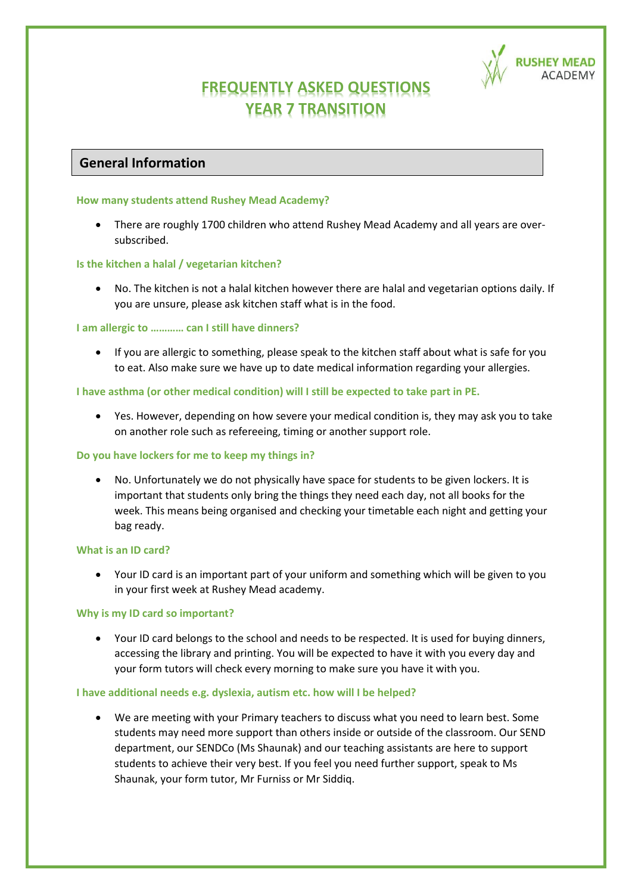

# **FREQUENTLY ASKED QUESTIONS YEAR 7 TRANSITION**

## **General Information**

## **How many students attend Rushey Mead Academy?**

• There are roughly 1700 children who attend Rushey Mead Academy and all years are oversubscribed.

## **Is the kitchen a halal / vegetarian kitchen?**

• No. The kitchen is not a halal kitchen however there are halal and vegetarian options daily. If you are unsure, please ask kitchen staff what is in the food.

## **I am allergic to ………… can I still have dinners?**

• If you are allergic to something, please speak to the kitchen staff about what is safe for you to eat. Also make sure we have up to date medical information regarding your allergies.

## **I have asthma (or other medical condition) will I still be expected to take part in PE.**

• Yes. However, depending on how severe your medical condition is, they may ask you to take on another role such as refereeing, timing or another support role.

## **Do you have lockers for me to keep my things in?**

• No. Unfortunately we do not physically have space for students to be given lockers. It is important that students only bring the things they need each day, not all books for the week. This means being organised and checking your timetable each night and getting your bag ready.

## **What is an ID card?**

• Your ID card is an important part of your uniform and something which will be given to you in your first week at Rushey Mead academy.

## **Why is my ID card so important?**

• Your ID card belongs to the school and needs to be respected. It is used for buying dinners, accessing the library and printing. You will be expected to have it with you every day and your form tutors will check every morning to make sure you have it with you.

## **I have additional needs e.g. dyslexia, autism etc. how will I be helped?**

• We are meeting with your Primary teachers to discuss what you need to learn best. Some students may need more support than others inside or outside of the classroom. Our SEND department, our SENDCo (Ms Shaunak) and our teaching assistants are here to support students to achieve their very best. If you feel you need further support, speak to Ms Shaunak, your form tutor, Mr Furniss or Mr Siddiq.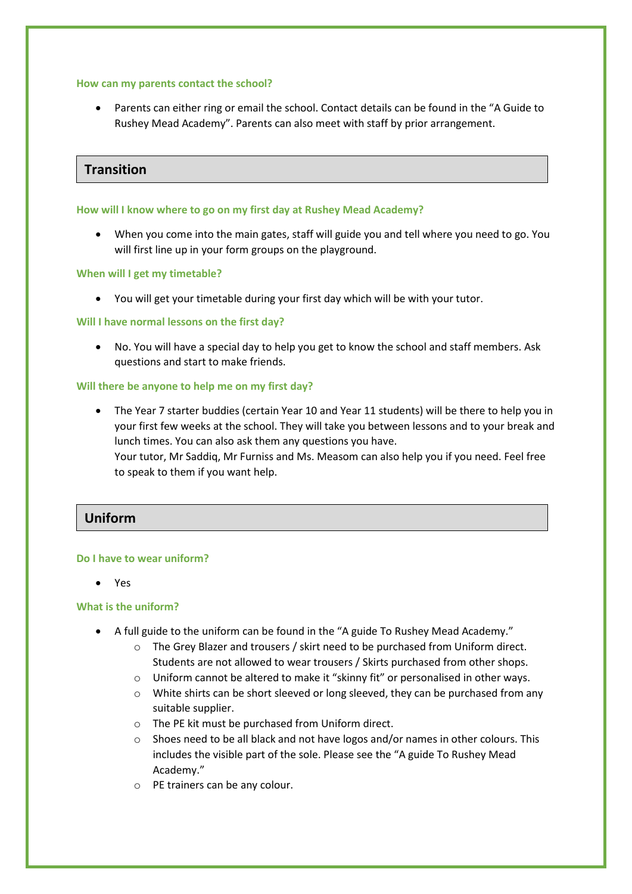#### **How can my parents contact the school?**

• Parents can either ring or email the school. Contact details can be found in the "A Guide to Rushey Mead Academy". Parents can also meet with staff by prior arrangement.

## **Transition**

## **How will I know where to go on my first day at Rushey Mead Academy?**

• When you come into the main gates, staff will guide you and tell where you need to go. You will first line up in your form groups on the playground.

## **When will I get my timetable?**

• You will get your timetable during your first day which will be with your tutor.

## **Will I have normal lessons on the first day?**

• No. You will have a special day to help you get to know the school and staff members. Ask questions and start to make friends.

## **Will there be anyone to help me on my first day?**

• The Year 7 starter buddies (certain Year 10 and Year 11 students) will be there to help you in your first few weeks at the school. They will take you between lessons and to your break and lunch times. You can also ask them any questions you have. Your tutor, Mr Saddiq, Mr Furniss and Ms. Measom can also help you if you need. Feel free to speak to them if you want help.

## **Uniform**

## **Do I have to wear uniform?**

• Yes

## **What is the uniform?**

- A full guide to the uniform can be found in the "A guide To Rushey Mead Academy."
	- o The Grey Blazer and trousers / skirt need to be purchased from Uniform direct. Students are not allowed to wear trousers / Skirts purchased from other shops.
	- o Uniform cannot be altered to make it "skinny fit" or personalised in other ways.
	- o White shirts can be short sleeved or long sleeved, they can be purchased from any suitable supplier.
	- o The PE kit must be purchased from Uniform direct.
	- $\circ$  Shoes need to be all black and not have logos and/or names in other colours. This includes the visible part of the sole. Please see the "A guide To Rushey Mead Academy."
	- o PE trainers can be any colour.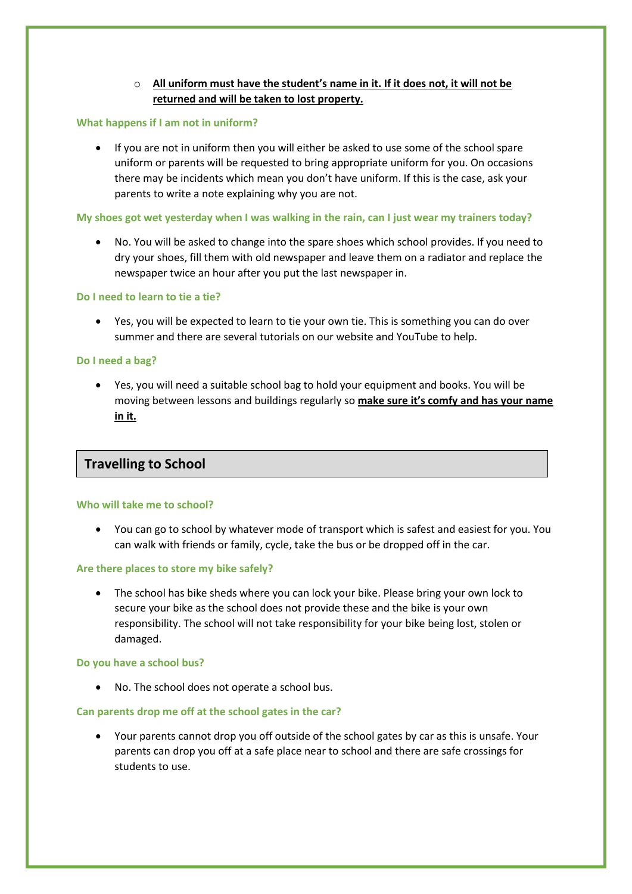## o **All uniform must have the student's name in it. If it does not, it will not be returned and will be taken to lost property.**

## **What happens if I am not in uniform?**

• If you are not in uniform then you will either be asked to use some of the school spare uniform or parents will be requested to bring appropriate uniform for you. On occasions there may be incidents which mean you don't have uniform. If this is the case, ask your parents to write a note explaining why you are not.

## **My shoes got wet yesterday when I was walking in the rain, can I just wear my trainers today?**

• No. You will be asked to change into the spare shoes which school provides. If you need to dry your shoes, fill them with old newspaper and leave them on a radiator and replace the newspaper twice an hour after you put the last newspaper in.

## **Do I need to learn to tie a tie?**

• Yes, you will be expected to learn to tie your own tie. This is something you can do over summer and there are several tutorials on our website and YouTube to help.

### **Do I need a bag?**

• Yes, you will need a suitable school bag to hold your equipment and books. You will be moving between lessons and buildings regularly so **make sure it's comfy and has your name in it.**

## **Travelling to School**

#### **Who will take me to school?**

• You can go to school by whatever mode of transport which is safest and easiest for you. You can walk with friends or family, cycle, take the bus or be dropped off in the car.

## **Are there places to store my bike safely?**

• The school has bike sheds where you can lock your bike. Please bring your own lock to secure your bike as the school does not provide these and the bike is your own responsibility. The school will not take responsibility for your bike being lost, stolen or damaged.

#### **Do you have a school bus?**

• No. The school does not operate a school bus.

## **Can parents drop me off at the school gates in the car?**

• Your parents cannot drop you off outside of the school gates by car as this is unsafe. Your parents can drop you off at a safe place near to school and there are safe crossings for students to use.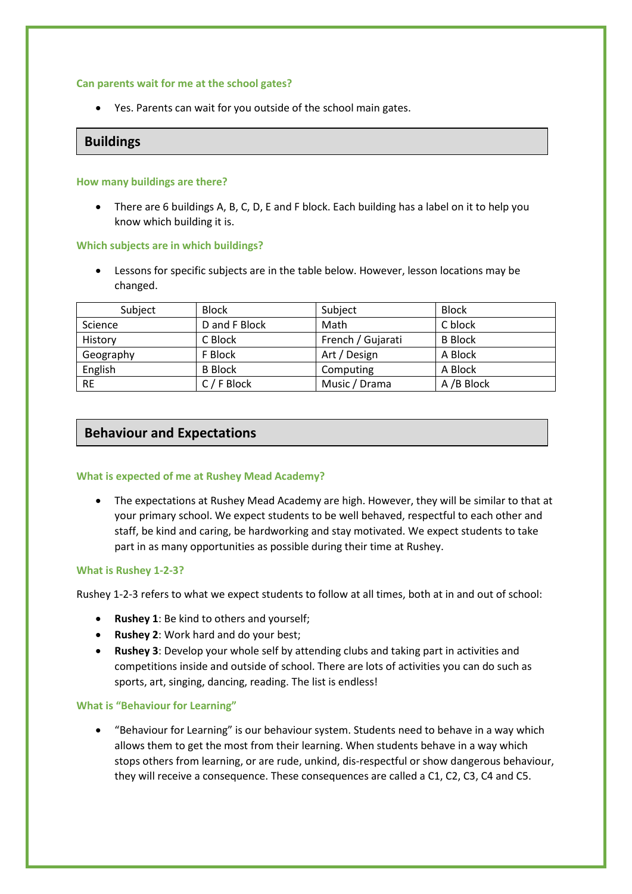#### **Can parents wait for me at the school gates?**

• Yes. Parents can wait for you outside of the school main gates.

## **Buildings**

## **How many buildings are there?**

• There are 6 buildings A, B, C, D, E and F block. Each building has a label on it to help you know which building it is.

## **Which subjects are in which buildings?**

• Lessons for specific subjects are in the table below. However, lesson locations may be changed.

| Subject   | <b>Block</b>   | Subject           | <b>Block</b>   |
|-----------|----------------|-------------------|----------------|
| Science   | D and F Block  | Math              | C block        |
| History   | C Block        | French / Gujarati | <b>B</b> Block |
| Geography | F Block        | Art / Design      | A Block        |
| English   | <b>B</b> Block | Computing         | A Block        |
| <b>RE</b> | C / F Block    | Music / Drama     | A /B Block     |

## **Behaviour and Expectations**

## **What is expected of me at Rushey Mead Academy?**

• The expectations at Rushey Mead Academy are high. However, they will be similar to that at your primary school. We expect students to be well behaved, respectful to each other and staff, be kind and caring, be hardworking and stay motivated. We expect students to take part in as many opportunities as possible during their time at Rushey.

## **What is Rushey 1-2-3?**

Rushey 1-2-3 refers to what we expect students to follow at all times, both at in and out of school:

- **Rushey 1**: Be kind to others and yourself;
- **Rushey 2**: Work hard and do your best;
- **Rushey 3**: Develop your whole self by attending clubs and taking part in activities and competitions inside and outside of school. There are lots of activities you can do such as sports, art, singing, dancing, reading. The list is endless!

#### **What is "Behaviour for Learning"**

• "Behaviour for Learning" is our behaviour system. Students need to behave in a way which allows them to get the most from their learning. When students behave in a way which stops others from learning, or are rude, unkind, dis-respectful or show dangerous behaviour, they will receive a consequence. These consequences are called a C1, C2, C3, C4 and C5.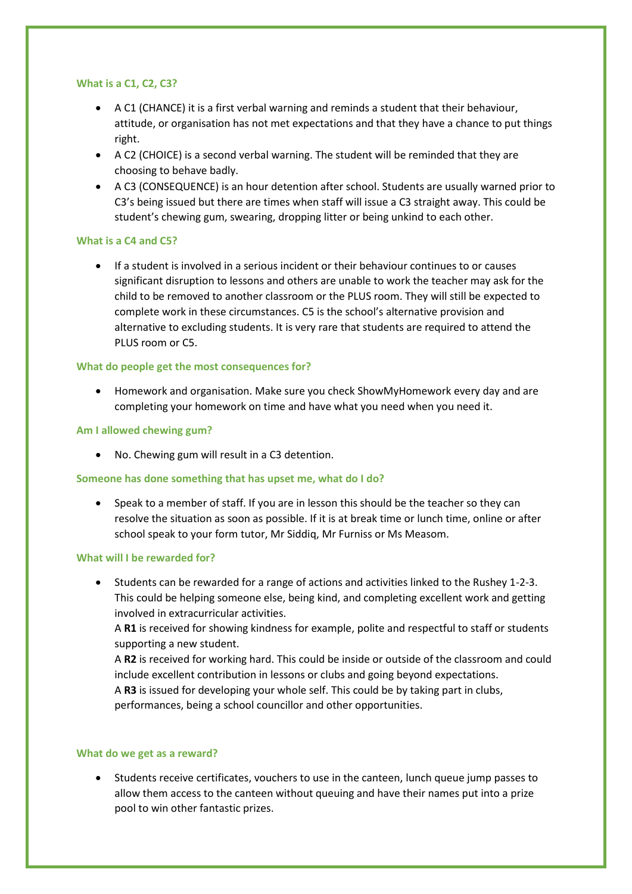#### **What is a C1, C2, C3?**

- A C1 (CHANCE) it is a first verbal warning and reminds a student that their behaviour, attitude, or organisation has not met expectations and that they have a chance to put things right.
- A C2 (CHOICE) is a second verbal warning. The student will be reminded that they are choosing to behave badly.
- A C3 (CONSEQUENCE) is an hour detention after school. Students are usually warned prior to C3's being issued but there are times when staff will issue a C3 straight away. This could be student's chewing gum, swearing, dropping litter or being unkind to each other.

## **What is a C4 and C5?**

• If a student is involved in a serious incident or their behaviour continues to or causes significant disruption to lessons and others are unable to work the teacher may ask for the child to be removed to another classroom or the PLUS room. They will still be expected to complete work in these circumstances. C5 is the school's alternative provision and alternative to excluding students. It is very rare that students are required to attend the PLUS room or C5.

## **What do people get the most consequences for?**

• Homework and organisation. Make sure you check ShowMyHomework every day and are completing your homework on time and have what you need when you need it.

## **Am I allowed chewing gum?**

• No. Chewing gum will result in a C3 detention.

## **Someone has done something that has upset me, what do I do?**

• Speak to a member of staff. If you are in lesson this should be the teacher so they can resolve the situation as soon as possible. If it is at break time or lunch time, online or after school speak to your form tutor, Mr Siddiq, Mr Furniss or Ms Measom.

## **What will I be rewarded for?**

• Students can be rewarded for a range of actions and activities linked to the Rushey 1-2-3. This could be helping someone else, being kind, and completing excellent work and getting involved in extracurricular activities.

A **R1** is received for showing kindness for example, polite and respectful to staff or students supporting a new student.

A **R2** is received for working hard. This could be inside or outside of the classroom and could include excellent contribution in lessons or clubs and going beyond expectations.

A **R3** is issued for developing your whole self. This could be by taking part in clubs, performances, being a school councillor and other opportunities.

## **What do we get as a reward?**

• Students receive certificates, vouchers to use in the canteen, lunch queue jump passes to allow them access to the canteen without queuing and have their names put into a prize pool to win other fantastic prizes.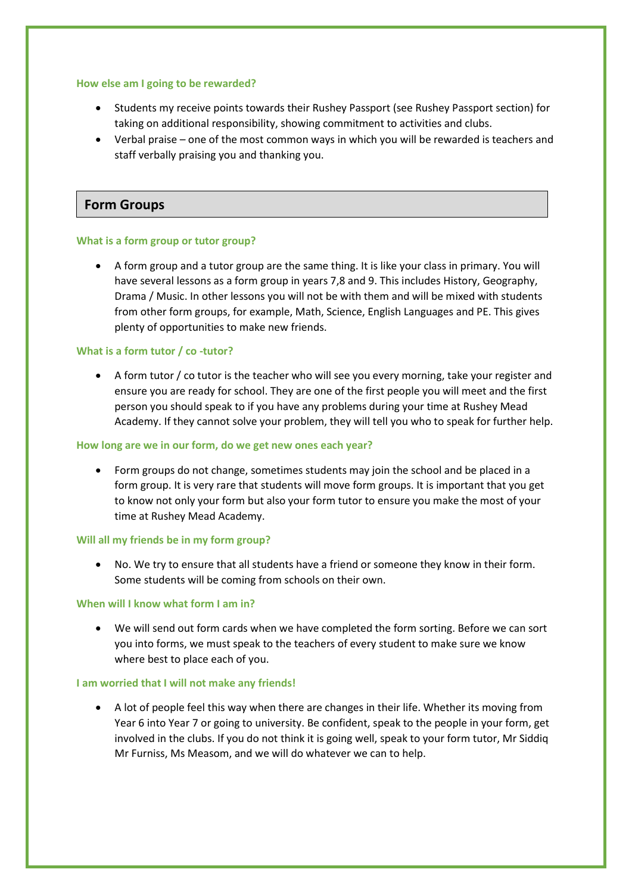#### **How else am I going to be rewarded?**

- Students my receive points towards their Rushey Passport (see Rushey Passport section) for taking on additional responsibility, showing commitment to activities and clubs.
- Verbal praise one of the most common ways in which you will be rewarded is teachers and staff verbally praising you and thanking you.

## **Form Groups**

#### **What is a form group or tutor group?**

• A form group and a tutor group are the same thing. It is like your class in primary. You will have several lessons as a form group in years 7,8 and 9. This includes History, Geography, Drama / Music. In other lessons you will not be with them and will be mixed with students from other form groups, for example, Math, Science, English Languages and PE. This gives plenty of opportunities to make new friends.

#### **What is a form tutor / co -tutor?**

• A form tutor / co tutor is the teacher who will see you every morning, take your register and ensure you are ready for school. They are one of the first people you will meet and the first person you should speak to if you have any problems during your time at Rushey Mead Academy. If they cannot solve your problem, they will tell you who to speak for further help.

#### **How long are we in our form, do we get new ones each year?**

• Form groups do not change, sometimes students may join the school and be placed in a form group. It is very rare that students will move form groups. It is important that you get to know not only your form but also your form tutor to ensure you make the most of your time at Rushey Mead Academy.

#### **Will all my friends be in my form group?**

• No. We try to ensure that all students have a friend or someone they know in their form. Some students will be coming from schools on their own.

## **When will I know what form I am in?**

• We will send out form cards when we have completed the form sorting. Before we can sort you into forms, we must speak to the teachers of every student to make sure we know where best to place each of you.

#### **I am worried that I will not make any friends!**

• A lot of people feel this way when there are changes in their life. Whether its moving from Year 6 into Year 7 or going to university. Be confident, speak to the people in your form, get involved in the clubs. If you do not think it is going well, speak to your form tutor, Mr Siddiq Mr Furniss, Ms Measom, and we will do whatever we can to help.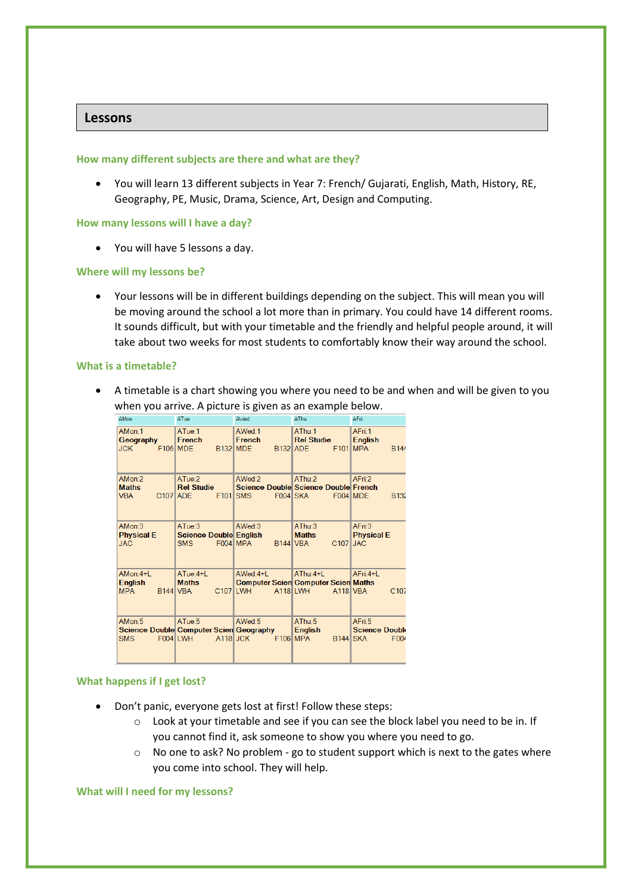## **Lessons**

#### **How many different subjects are there and what are they?**

• You will learn 13 different subjects in Year 7: French/ Gujarati, English, Math, History, RE, Geography, PE, Music, Drama, Science, Art, Design and Computing.

#### **How many lessons will I have a day?**

• You will have 5 lessons a day.

#### **Where will my lessons be?**

• Your lessons will be in different buildings depending on the subject. This will mean you will be moving around the school a lot more than in primary. You could have 14 different rooms. It sounds difficult, but with your timetable and the friendly and helpful people around, it will take about two weeks for most students to comfortably know their way around the school.

#### **What is a timetable?**

• A timetable is a chart showing you where you need to be and when and will be given to you when you arrive. A picture is given as an example below.

| <b>AMon</b>                                                  | ATue                                                          | AWed                                | <b>AThu</b>                                                                   | AFri                                                            |
|--------------------------------------------------------------|---------------------------------------------------------------|-------------------------------------|-------------------------------------------------------------------------------|-----------------------------------------------------------------|
| AMon:1<br>Geography<br><b>JCK</b>                            | ATue:1<br>French<br>$F106$ MDE                                | AWed:1<br>French<br><b>B132 MDE</b> | AThu:1<br><b>Rel Studie</b><br>B <sub>132</sub> ADE<br>F101                   | AFri:1<br><b>English</b><br><b>MPA</b><br><b>B144</b>           |
| AMon:2<br><b>Maths</b><br>C <sub>107</sub> ADE<br><b>VBA</b> | ATue:2<br><b>Rel Studie</b>                                   | AWed:2<br>F <sub>101</sub> SMS      | AThu:2<br>Science Double Science Double French<br>F004 SKA                    | AFri:2<br>F004 MDE<br><b>B132</b>                               |
| AMon:3<br><b>Physical E</b><br><b>JAC</b>                    | ATue:3<br><b>Science Double English</b><br><b>SMS</b>         | AWed:3<br>F004 MPA                  | AThu:3<br><b>Maths</b><br>C <sub>107</sub><br>$B144$ VBA                      | AFri:3<br><b>Physical E</b><br><b>JAC</b>                       |
| $AMon:4+L$<br>English<br><b>MPA</b>                          | ATue:4+L<br><b>Maths</b><br>B <sub>144</sub> VBA              | $AWed:4+L$<br>C107 LWH              | AThu:4+L<br><b>Computer Scien Computer Scien Maths</b><br>A118LWH<br>A118 VBA | AFri:4+L<br>C <sub>107</sub>                                    |
| AMon:5<br><b>SMS</b>                                         | ATue:5<br>Science Double Computer Scien Geography<br>F004 LWH | AWed:5<br>$A118$ JCK                | AThu:5<br><b>English</b><br>$F106$ MPA                                        | AFri:5<br><b>Science Double</b><br>B <sub>144</sub> SKA<br>F004 |

#### **What happens if I get lost?**

- Don't panic, everyone gets lost at first! Follow these steps:
	- $\circ$  Look at your timetable and see if you can see the block label you need to be in. If you cannot find it, ask someone to show you where you need to go.
	- $\circ$  No one to ask? No problem go to student support which is next to the gates where you come into school. They will help.

**What will I need for my lessons?**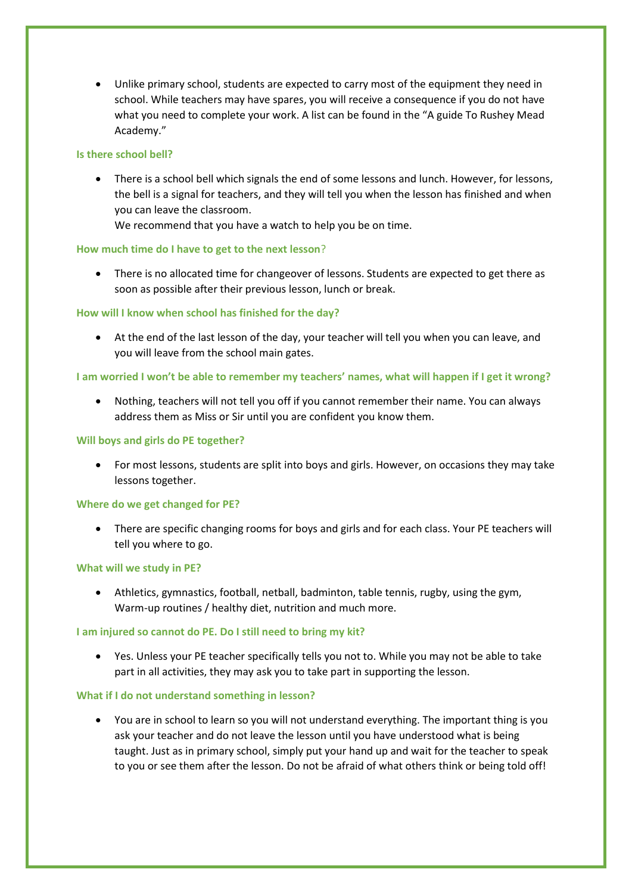• Unlike primary school, students are expected to carry most of the equipment they need in school. While teachers may have spares, you will receive a consequence if you do not have what you need to complete your work. A list can be found in the "A guide To Rushey Mead Academy."

### **Is there school bell?**

• There is a school bell which signals the end of some lessons and lunch. However, for lessons, the bell is a signal for teachers, and they will tell you when the lesson has finished and when you can leave the classroom.

We recommend that you have a watch to help you be on time.

### **How much time do I have to get to the next lesson**?

• There is no allocated time for changeover of lessons. Students are expected to get there as soon as possible after their previous lesson, lunch or break.

### **How will I know when school has finished for the day?**

• At the end of the last lesson of the day, your teacher will tell you when you can leave, and you will leave from the school main gates.

## **I am worried I won't be able to remember my teachers' names, what will happen if I get it wrong?**

• Nothing, teachers will not tell you off if you cannot remember their name. You can always address them as Miss or Sir until you are confident you know them.

### **Will boys and girls do PE together?**

• For most lessons, students are split into boys and girls. However, on occasions they may take lessons together.

#### **Where do we get changed for PE?**

• There are specific changing rooms for boys and girls and for each class. Your PE teachers will tell you where to go.

#### **What will we study in PE?**

• Athletics, gymnastics, football, netball, badminton, table tennis, rugby, using the gym, Warm-up routines / healthy diet, nutrition and much more.

## **I am injured so cannot do PE. Do I still need to bring my kit?**

• Yes. Unless your PE teacher specifically tells you not to. While you may not be able to take part in all activities, they may ask you to take part in supporting the lesson.

#### **What if I do not understand something in lesson?**

• You are in school to learn so you will not understand everything. The important thing is you ask your teacher and do not leave the lesson until you have understood what is being taught. Just as in primary school, simply put your hand up and wait for the teacher to speak to you or see them after the lesson. Do not be afraid of what others think or being told off!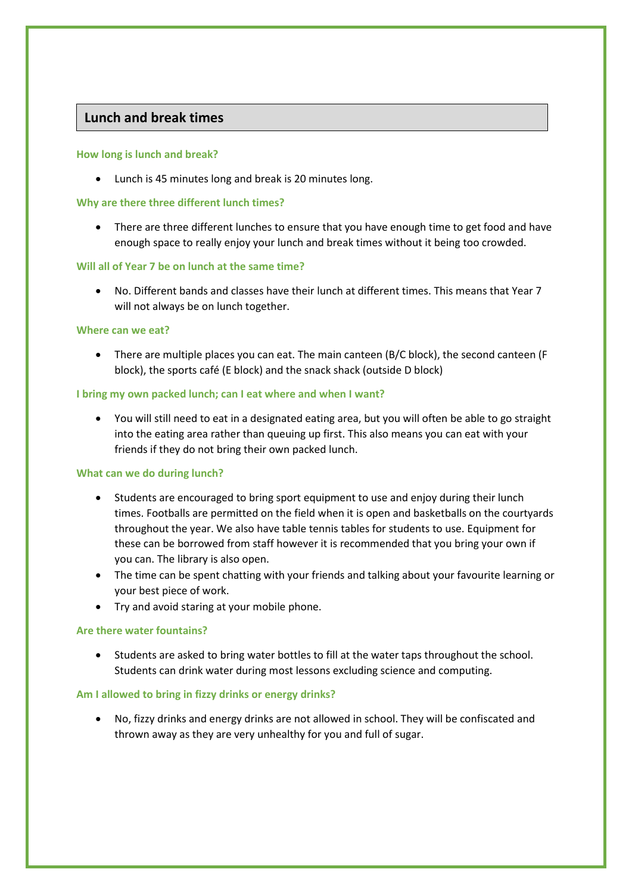## **Lunch and break times**

## **How long is lunch and break?**

• Lunch is 45 minutes long and break is 20 minutes long.

### **Why are there three different lunch times?**

• There are three different lunches to ensure that you have enough time to get food and have enough space to really enjoy your lunch and break times without it being too crowded.

### **Will all of Year 7 be on lunch at the same time?**

• No. Different bands and classes have their lunch at different times. This means that Year 7 will not always be on lunch together.

#### **Where can we eat?**

• There are multiple places you can eat. The main canteen (B/C block), the second canteen (F block), the sports café (E block) and the snack shack (outside D block)

### **I bring my own packed lunch; can I eat where and when I want?**

• You will still need to eat in a designated eating area, but you will often be able to go straight into the eating area rather than queuing up first. This also means you can eat with your friends if they do not bring their own packed lunch.

#### **What can we do during lunch?**

- Students are encouraged to bring sport equipment to use and enjoy during their lunch times. Footballs are permitted on the field when it is open and basketballs on the courtyards throughout the year. We also have table tennis tables for students to use. Equipment for these can be borrowed from staff however it is recommended that you bring your own if you can. The library is also open.
- The time can be spent chatting with your friends and talking about your favourite learning or your best piece of work.
- Try and avoid staring at your mobile phone.

## **Are there water fountains?**

• Students are asked to bring water bottles to fill at the water taps throughout the school. Students can drink water during most lessons excluding science and computing.

## **Am I allowed to bring in fizzy drinks or energy drinks?**

• No, fizzy drinks and energy drinks are not allowed in school. They will be confiscated and thrown away as they are very unhealthy for you and full of sugar.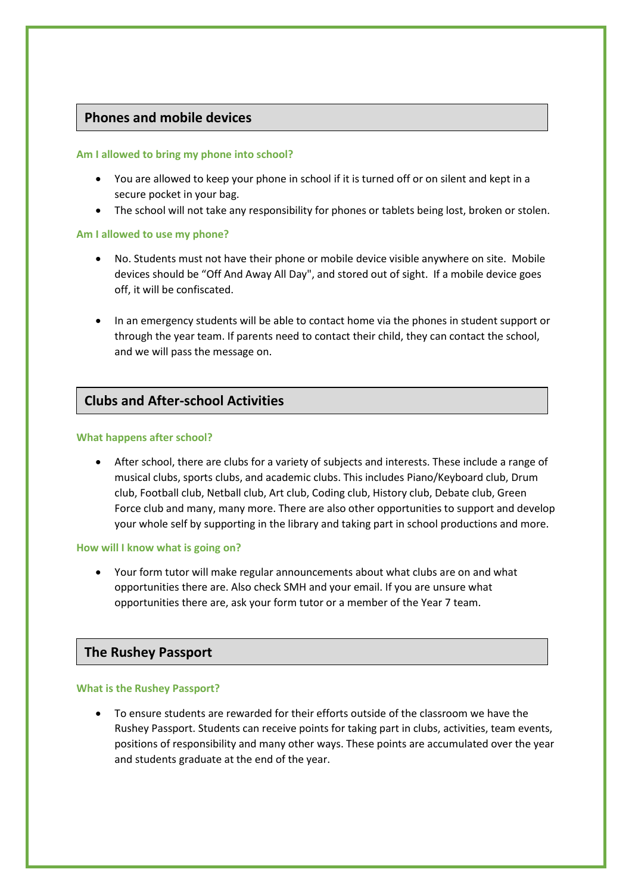## **Phones and mobile devices**

## **Am I allowed to bring my phone into school?**

- You are allowed to keep your phone in school if it is turned off or on silent and kept in a secure pocket in your bag.
- The school will not take any responsibility for phones or tablets being lost, broken or stolen.

## **Am I allowed to use my phone?**

- No. Students must not have their phone or mobile device visible anywhere on site. Mobile devices should be "Off And Away All Day", and stored out of sight. If a mobile device goes off, it will be confiscated.
- In an emergency students will be able to contact home via the phones in student support or through the year team. If parents need to contact their child, they can contact the school, and we will pass the message on.

## **Clubs and After-school Activities**

### **What happens after school?**

• After school, there are clubs for a variety of subjects and interests. These include a range of musical clubs, sports clubs, and academic clubs. This includes Piano/Keyboard club, Drum club, Football club, Netball club, Art club, Coding club, History club, Debate club, Green Force club and many, many more. There are also other opportunities to support and develop your whole self by supporting in the library and taking part in school productions and more.

## **How will I know what is going on?**

• Your form tutor will make regular announcements about what clubs are on and what opportunities there are. Also check SMH and your email. If you are unsure what opportunities there are, ask your form tutor or a member of the Year 7 team.

## **The Rushey Passport**

#### **What is the Rushey Passport?**

• To ensure students are rewarded for their efforts outside of the classroom we have the Rushey Passport. Students can receive points for taking part in clubs, activities, team events, positions of responsibility and many other ways. These points are accumulated over the year and students graduate at the end of the year.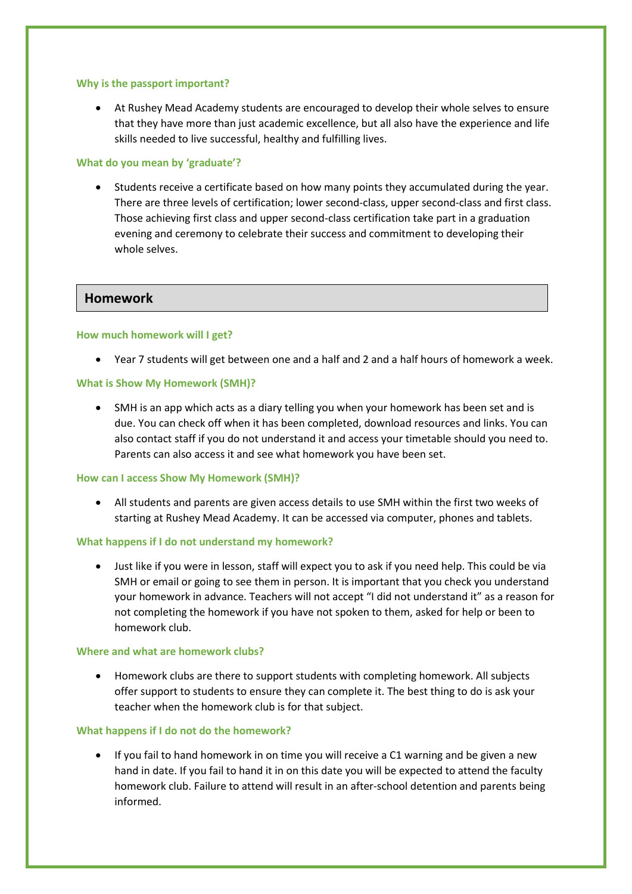#### **Why is the passport important?**

• At Rushey Mead Academy students are encouraged to develop their whole selves to ensure that they have more than just academic excellence, but all also have the experience and life skills needed to live successful, healthy and fulfilling lives.

#### **What do you mean by 'graduate'?**

• Students receive a certificate based on how many points they accumulated during the year. There are three levels of certification; lower second-class, upper second-class and first class. Those achieving first class and upper second-class certification take part in a graduation evening and ceremony to celebrate their success and commitment to developing their whole selves.

## **Homework**

#### **How much homework will I get?**

• Year 7 students will get between one and a half and 2 and a half hours of homework a week.

#### **What is Show My Homework (SMH)?**

• SMH is an app which acts as a diary telling you when your homework has been set and is due. You can check off when it has been completed, download resources and links. You can also contact staff if you do not understand it and access your timetable should you need to. Parents can also access it and see what homework you have been set.

#### **How can I access Show My Homework (SMH)?**

• All students and parents are given access details to use SMH within the first two weeks of starting at Rushey Mead Academy. It can be accessed via computer, phones and tablets.

#### **What happens if I do not understand my homework?**

• Just like if you were in lesson, staff will expect you to ask if you need help. This could be via SMH or email or going to see them in person. It is important that you check you understand your homework in advance. Teachers will not accept "I did not understand it" as a reason for not completing the homework if you have not spoken to them, asked for help or been to homework club.

## **Where and what are homework clubs?**

• Homework clubs are there to support students with completing homework. All subjects offer support to students to ensure they can complete it. The best thing to do is ask your teacher when the homework club is for that subject.

#### **What happens if I do not do the homework?**

• If you fail to hand homework in on time you will receive a C1 warning and be given a new hand in date. If you fail to hand it in on this date you will be expected to attend the faculty homework club. Failure to attend will result in an after-school detention and parents being informed.